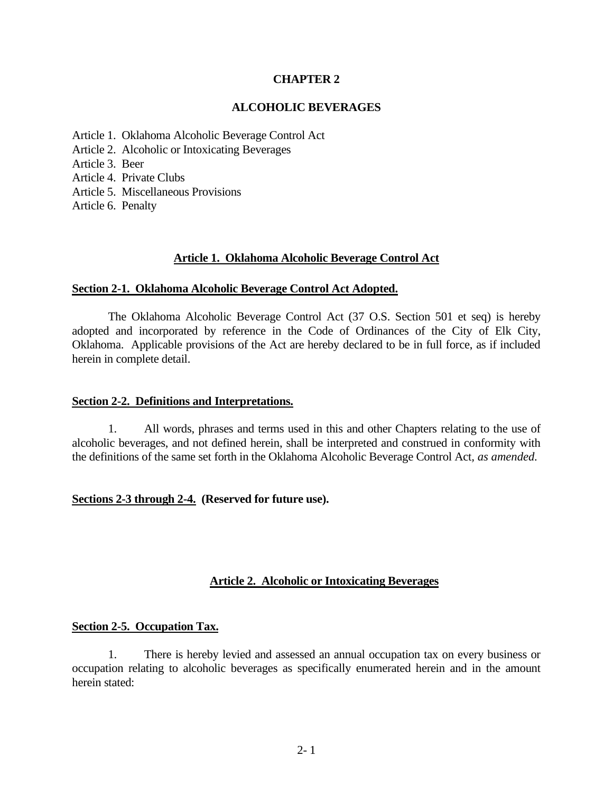## **CHAPTER 2**

## **ALCOHOLIC BEVERAGES**

- Article [1. Oklahoma](#page-0-0) Alcoholic Beverage Control Act
- Article [2. Alcoholic](#page-0-1) or Intoxicating Beverages
- Article [3. Beer](#page-4-0)
- Article [4. Private](#page-6-0) Clubs
- Article [5. Miscellaneous](#page-6-1) Provisions
- <span id="page-0-0"></span>Article [6. Penalty](#page-6-2)

## **Article 1. Oklahoma Alcoholic Beverage Control Act**

## **Section 2-1. Oklahoma Alcoholic Beverage Control Act Adopted.**

The Oklahoma Alcoholic Beverage Control Act (37 O.S. Section 501 et seq) is hereby adopted and incorporated by reference in the Code of Ordinances of the City of Elk City, Oklahoma. Applicable provisions of the Act are hereby declared to be in full force, as if included herein in complete detail.

## **Section 2-2. Definitions and Interpretations.**

1. All words, phrases and terms used in this and other Chapters relating to the use of alcoholic beverages, and not defined herein, shall be interpreted and construed in conformity with the definitions of the same set forth in the Oklahoma Alcoholic Beverage Control Act*, as amended.*

## **Sections 2-3 through 2-4. (Reserved for future use).**

# <span id="page-0-1"></span>**Article 2. Alcoholic or Intoxicating Beverages**

## **Section 2-5. Occupation Tax.**

1. There is hereby levied and assessed an annual occupation tax on every business or occupation relating to alcoholic beverages as specifically enumerated herein and in the amount herein stated: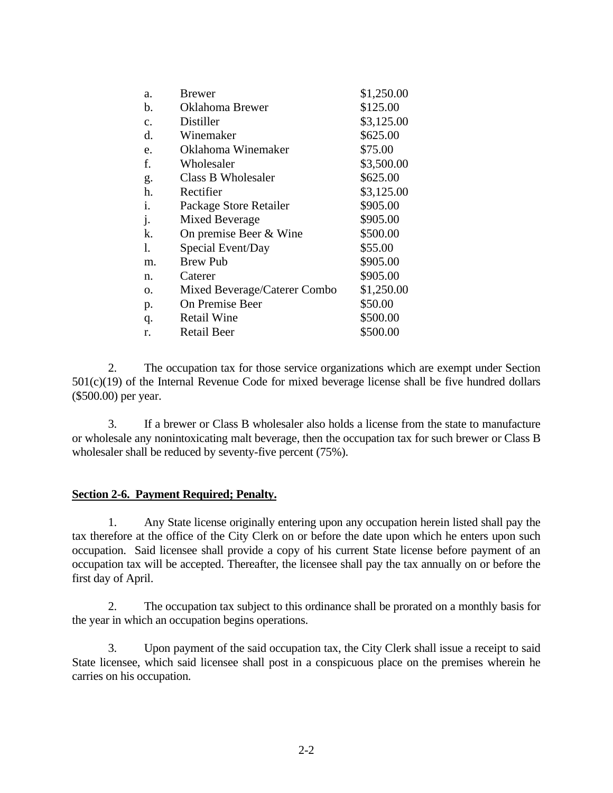| a.             | <b>Brewer</b>                | \$1,250.00 |
|----------------|------------------------------|------------|
| b.             | Oklahoma Brewer              | \$125.00   |
| $\mathbf{c}$ . | Distiller                    | \$3,125.00 |
| d.             | Winemaker                    | \$625.00   |
| e.             | Oklahoma Winemaker           | \$75.00    |
| f.             | Wholesaler                   | \$3,500.00 |
| g.             | Class B Wholesaler           | \$625.00   |
| h.             | Rectifier                    | \$3,125.00 |
| i.             | Package Store Retailer       | \$905.00   |
| j.             | Mixed Beverage               | \$905.00   |
| k.             | On premise Beer & Wine       | \$500.00   |
| 1.             | Special Event/Day            | \$55.00    |
| m.             | <b>Brew Pub</b>              | \$905.00   |
| n.             | Caterer                      | \$905.00   |
| 0.             | Mixed Beverage/Caterer Combo | \$1,250.00 |
| p.             | On Premise Beer              | \$50.00    |
| q.             | <b>Retail Wine</b>           | \$500.00   |
| r.             | <b>Retail Beer</b>           | \$500.00   |
|                |                              |            |

2. The occupation tax for those service organizations which are exempt under Section 501(c)(19) of the Internal Revenue Code for mixed beverage license shall be five hundred dollars (\$500.00) per year.

3. If a brewer or Class B wholesaler also holds a license from the state to manufacture or wholesale any nonintoxicating malt beverage, then the occupation tax for such brewer or Class B wholesaler shall be reduced by seventy-five percent (75%).

## **Section 2-6. Payment Required; Penalty.**

1. Any State license originally entering upon any occupation herein listed shall pay the tax therefore at the office of the City Clerk on or before the date upon which he enters upon such occupation. Said licensee shall provide a copy of his current State license before payment of an occupation tax will be accepted. Thereafter, the licensee shall pay the tax annually on or before the first day of April.

2. The occupation tax subject to this ordinance shall be prorated on a monthly basis for the year in which an occupation begins operations.

3. Upon payment of the said occupation tax, the City Clerk shall issue a receipt to said State licensee, which said licensee shall post in a conspicuous place on the premises wherein he carries on his occupation.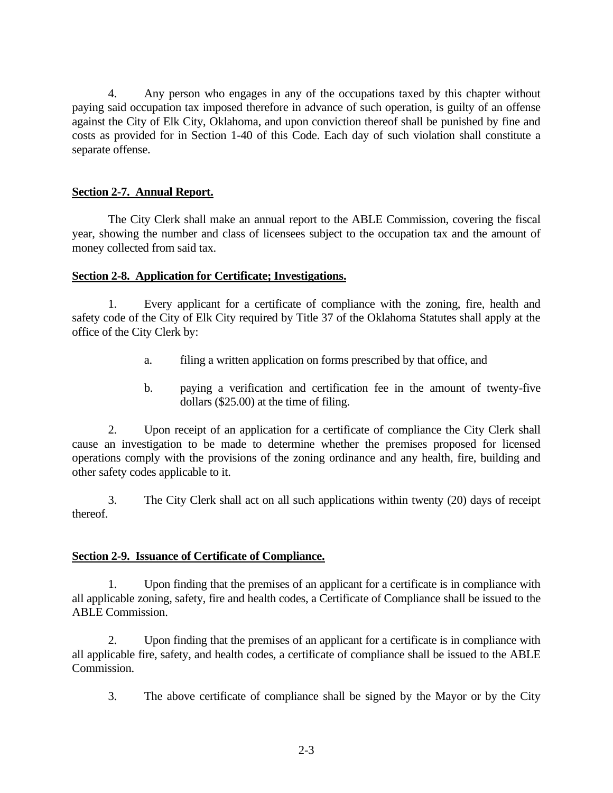4. Any person who engages in any of the occupations taxed by this chapter without paying said occupation tax imposed therefore in advance of such operation, is guilty of an offense against the City of Elk City, Oklahoma, and upon conviction thereof shall be punished by fine and costs as provided for in Section 1-40 of this Code. Each day of such violation shall constitute a separate offense.

# **Section 2-7. Annual Report.**

The City Clerk shall make an annual report to the ABLE Commission, covering the fiscal year, showing the number and class of licensees subject to the occupation tax and the amount of money collected from said tax.

## **Section 2-8. Application for Certificate; Investigations.**

1. Every applicant for a certificate of compliance with the zoning, fire, health and safety code of the City of Elk City required by Title 37 of the Oklahoma Statutes shall apply at the office of the City Clerk by:

- a. filing a written application on forms prescribed by that office, and
- b. paying a verification and certification fee in the amount of twenty-five dollars (\$25.00) at the time of filing.

2. Upon receipt of an application for a certificate of compliance the City Clerk shall cause an investigation to be made to determine whether the premises proposed for licensed operations comply with the provisions of the zoning ordinance and any health, fire, building and other safety codes applicable to it.

3. The City Clerk shall act on all such applications within twenty (20) days of receipt thereof.

# **Section 2-9. Issuance of Certificate of Compliance.**

1. Upon finding that the premises of an applicant for a certificate is in compliance with all applicable zoning, safety, fire and health codes, a Certificate of Compliance shall be issued to the ABLE Commission.

2. Upon finding that the premises of an applicant for a certificate is in compliance with all applicable fire, safety, and health codes, a certificate of compliance shall be issued to the ABLE Commission.

3. The above certificate of compliance shall be signed by the Mayor or by the City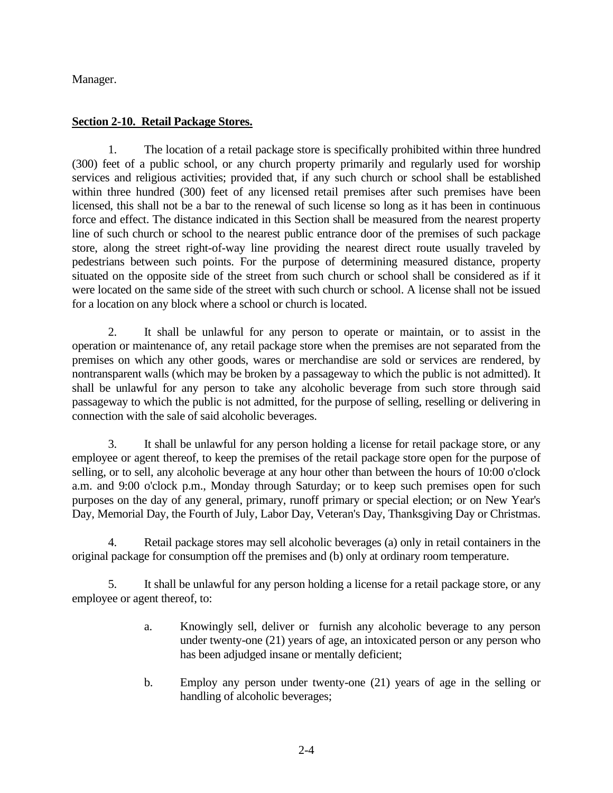Manager.

# **Section 2-10. Retail Package Stores.**

1. The location of a retail package store is specifically prohibited within three hundred (300) feet of a public school, or any church property primarily and regularly used for worship services and religious activities; provided that, if any such church or school shall be established within three hundred (300) feet of any licensed retail premises after such premises have been licensed, this shall not be a bar to the renewal of such license so long as it has been in continuous force and effect. The distance indicated in this Section shall be measured from the nearest property line of such church or school to the nearest public entrance door of the premises of such package store, along the street right-of-way line providing the nearest direct route usually traveled by pedestrians between such points. For the purpose of determining measured distance, property situated on the opposite side of the street from such church or school shall be considered as if it were located on the same side of the street with such church or school. A license shall not be issued for a location on any block where a school or church is located.

2. It shall be unlawful for any person to operate or maintain, or to assist in the operation or maintenance of, any retail package store when the premises are not separated from the premises on which any other goods, wares or merchandise are sold or services are rendered, by nontransparent walls (which may be broken by a passageway to which the public is not admitted). It shall be unlawful for any person to take any alcoholic beverage from such store through said passageway to which the public is not admitted, for the purpose of selling, reselling or delivering in connection with the sale of said alcoholic beverages.

3. It shall be unlawful for any person holding a license for retail package store, or any employee or agent thereof, to keep the premises of the retail package store open for the purpose of selling, or to sell, any alcoholic beverage at any hour other than between the hours of 10:00 o'clock a.m. and 9:00 o'clock p.m., Monday through Saturday; or to keep such premises open for such purposes on the day of any general, primary, runoff primary or special election; or on New Year's Day, Memorial Day, the Fourth of July, Labor Day, Veteran's Day, Thanksgiving Day or Christmas.

4. Retail package stores may sell alcoholic beverages (a) only in retail containers in the original package for consumption off the premises and (b) only at ordinary room temperature.

5. It shall be unlawful for any person holding a license for a retail package store, or any employee or agent thereof, to:

- a. Knowingly sell, deliver or furnish any alcoholic beverage to any person under twenty-one (21) years of age, an intoxicated person or any person who has been adjudged insane or mentally deficient;
- b. Employ any person under twenty-one (21) years of age in the selling or handling of alcoholic beverages;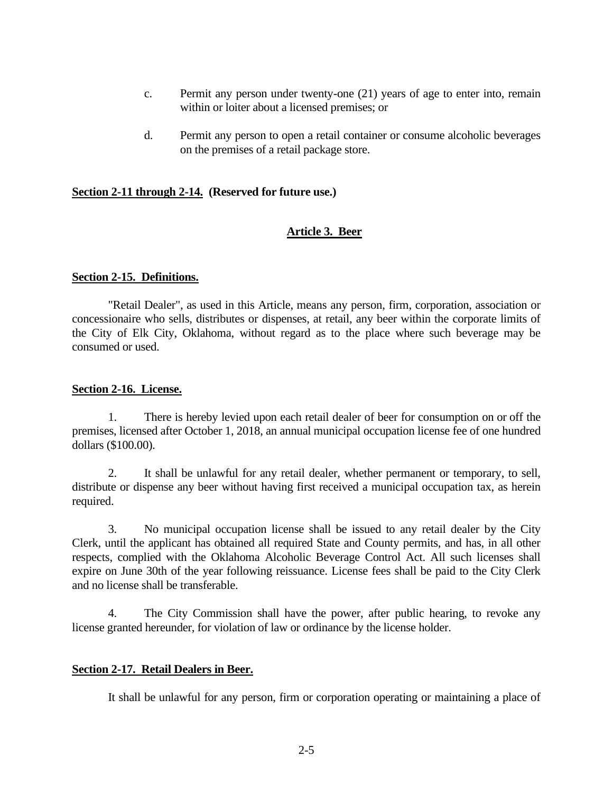- c. Permit any person under twenty-one (21) years of age to enter into, remain within or loiter about a licensed premises; or
- d. Permit any person to open a retail container or consume alcoholic beverages on the premises of a retail package store.

### **Section 2-11 through 2-14. (Reserved for future use.)**

#### <span id="page-4-0"></span>**Article 3. Beer**

#### **Section 2-15. Definitions.**

"Retail Dealer", as used in this Article, means any person, firm, corporation, association or concessionaire who sells, distributes or dispenses, at retail, any beer within the corporate limits of the City of Elk City, Oklahoma, without regard as to the place where such beverage may be consumed or used.

#### **Section 2-16. License.**

1. There is hereby levied upon each retail dealer of beer for consumption on or off the premises, licensed after October 1, 2018, an annual municipal occupation license fee of one hundred dollars (\$100.00).

2. It shall be unlawful for any retail dealer, whether permanent or temporary, to sell, distribute or dispense any beer without having first received a municipal occupation tax, as herein required.

3. No municipal occupation license shall be issued to any retail dealer by the City Clerk, until the applicant has obtained all required State and County permits, and has, in all other respects, complied with the Oklahoma Alcoholic Beverage Control Act. All such licenses shall expire on June 30th of the year following reissuance. License fees shall be paid to the City Clerk and no license shall be transferable.

4. The City Commission shall have the power, after public hearing, to revoke any license granted hereunder, for violation of law or ordinance by the license holder.

#### **Section 2-17. Retail Dealers in Beer.**

It shall be unlawful for any person, firm or corporation operating or maintaining a place of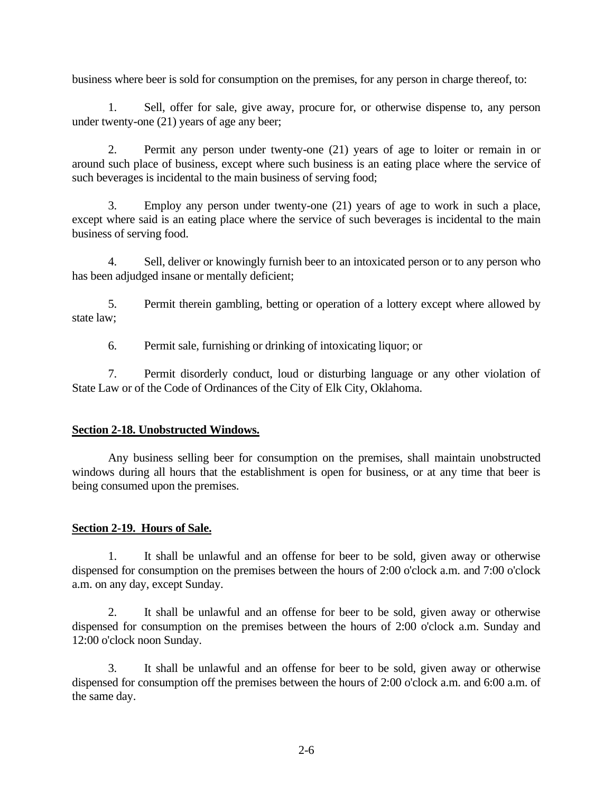business where beer is sold for consumption on the premises, for any person in charge thereof, to:

1. Sell, offer for sale, give away, procure for, or otherwise dispense to, any person under twenty-one (21) years of age any beer;

2. Permit any person under twenty-one (21) years of age to loiter or remain in or around such place of business, except where such business is an eating place where the service of such beverages is incidental to the main business of serving food;

3. Employ any person under twenty-one (21) years of age to work in such a place, except where said is an eating place where the service of such beverages is incidental to the main business of serving food.

4. Sell, deliver or knowingly furnish beer to an intoxicated person or to any person who has been adjudged insane or mentally deficient;

5. Permit therein gambling, betting or operation of a lottery except where allowed by state law;

6. Permit sale, furnishing or drinking of intoxicating liquor; or

7. Permit disorderly conduct, loud or disturbing language or any other violation of State Law or of the Code of Ordinances of the City of Elk City, Oklahoma.

## **Section 2-18. Unobstructed Windows.**

Any business selling beer for consumption on the premises, shall maintain unobstructed windows during all hours that the establishment is open for business, or at any time that beer is being consumed upon the premises.

# **Section 2-19. Hours of Sale.**

1. It shall be unlawful and an offense for beer to be sold, given away or otherwise dispensed for consumption on the premises between the hours of 2:00 o'clock a.m. and 7:00 o'clock a.m. on any day, except Sunday.

2. It shall be unlawful and an offense for beer to be sold, given away or otherwise dispensed for consumption on the premises between the hours of 2:00 o'clock a.m. Sunday and 12:00 o'clock noon Sunday.

3. It shall be unlawful and an offense for beer to be sold, given away or otherwise dispensed for consumption off the premises between the hours of 2:00 o'clock a.m. and 6:00 a.m. of the same day.